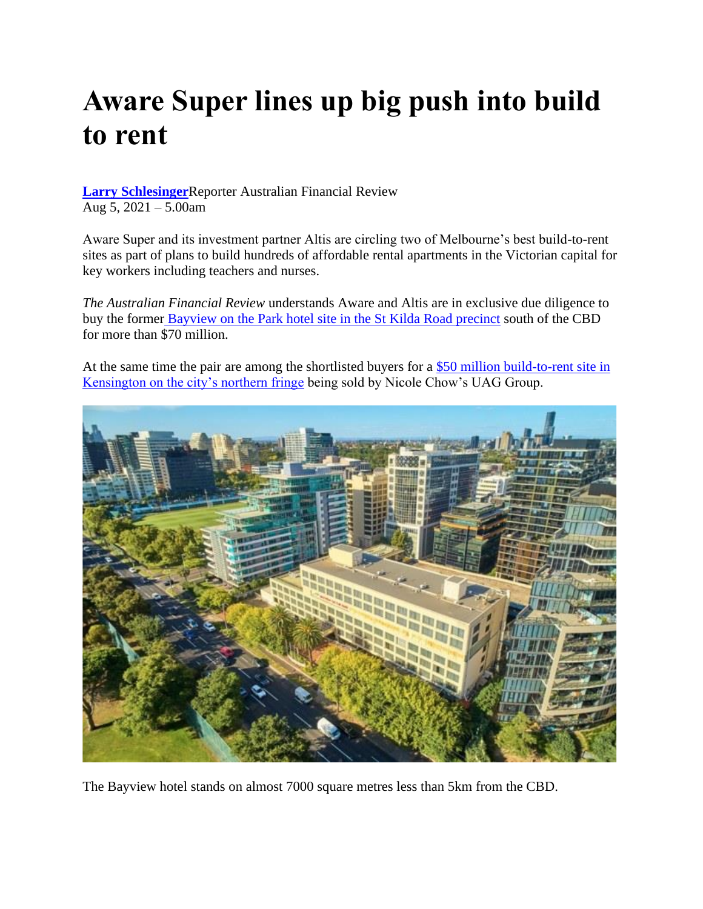## **Aware Super lines up big push into build to rent**

**[Larry Schlesinger](https://www.afr.com/by/larry-schlesinger-14476t)**Reporter Australian Financial Review Aug 5, 2021 – 5.00am

Aware Super and its investment partner Altis are circling two of Melbourne's best build-to-rent sites as part of plans to build hundreds of affordable rental apartments in the Victorian capital for key workers including teachers and nurses.

*The Australian Financial Review* understands Aware and Altis are in exclusive due diligence to buy the former [Bayview on the Park hotel site in the St Kilda Road precinct](https://www.afr.com/link/follow-20180101-p5773f) south of the CBD for more than \$70 million.

At the same time the pair are among the shortlisted buyers for a [\\$50 million build-to-rent site in](https://www.afr.com/link/follow-20180101-p57nie)  [Kensington on the city's northern fringe](https://www.afr.com/link/follow-20180101-p57nie) being sold by Nicole Chow's UAG Group.



The Bayview hotel stands on almost 7000 square metres less than 5km from the CBD.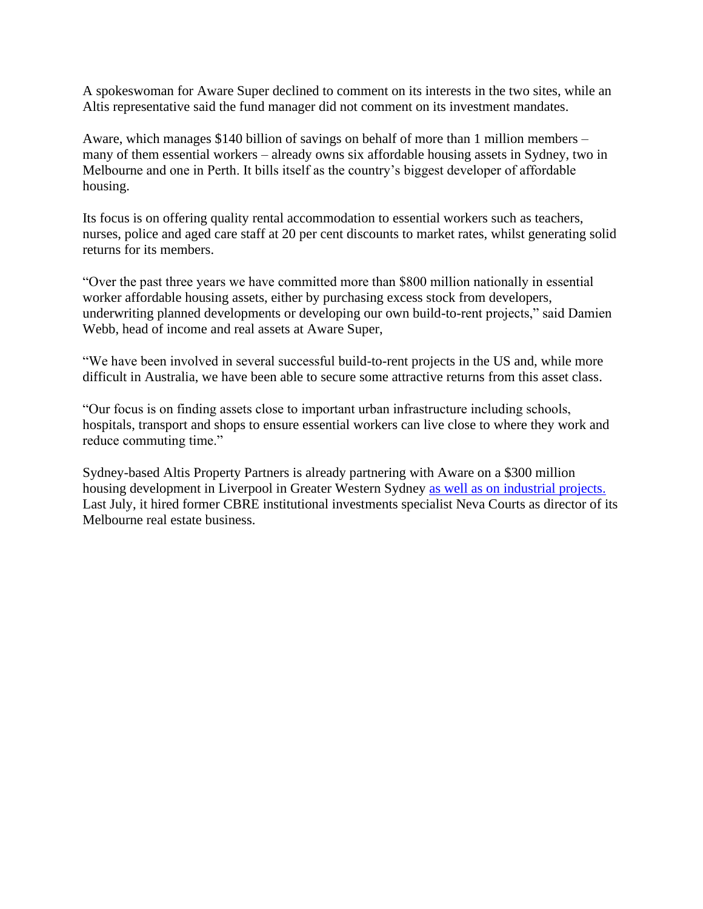A spokeswoman for Aware Super declined to comment on its interests in the two sites, while an Altis representative said the fund manager did not comment on its investment mandates.

Aware, which manages \$140 billion of savings on behalf of more than 1 million members – many of them essential workers – already owns six affordable housing assets in Sydney, two in Melbourne and one in Perth. It bills itself as the country's biggest developer of affordable housing.

Its focus is on offering quality rental accommodation to essential workers such as teachers, nurses, police and aged care staff at 20 per cent discounts to market rates, whilst generating solid returns for its members.

"Over the past three years we have committed more than \$800 million nationally in essential worker affordable housing assets, either by purchasing excess stock from developers, underwriting planned developments or developing our own build-to-rent projects," said Damien Webb, head of income and real assets at Aware Super,

"We have been involved in several successful build-to-rent projects in the US and, while more difficult in Australia, we have been able to secure some attractive returns from this asset class.

"Our focus is on finding assets close to important urban infrastructure including schools, hospitals, transport and shops to ensure essential workers can live close to where they work and reduce commuting time."

Sydney-based Altis Property Partners is already partnering with Aware on a \$300 million housing development in Liverpool in Greater Western Sydney [as well as on industrial projects.](https://www.afr.com/link/follow-20180101-p57gvq) Last July, it hired former CBRE institutional investments specialist Neva Courts as director of its Melbourne real estate business.